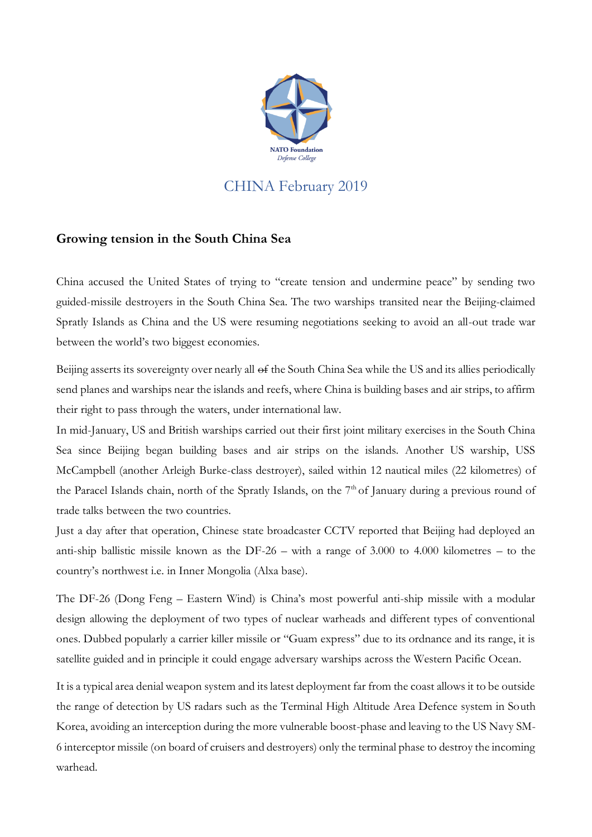

## CHINA February 2019

## **Growing tension in the South China Sea**

China accused the United States of trying to "create tension and undermine peace" by sending two guided-missile destroyers in the South China Sea. The two warships transited near the Beijing-claimed Spratly Islands as China and the US were resuming negotiations seeking to avoid an all-out trade war between the world's two biggest economies.

Beijing asserts its sovereignty over nearly all of the South China Sea while the US and its allies periodically send planes and warships near the islands and reefs, where China is building bases and air strips, to affirm their right to pass through the waters, under international law.

In mid-January, US and British warships carried out their first joint military exercises in the South China Sea since Beijing began building bases and air strips on the islands. Another US warship, USS McCampbell (another Arleigh Burke-class destroyer), sailed within 12 nautical miles (22 kilometres) of the Paracel Islands chain, north of the Spratly Islands, on the  $7<sup>th</sup>$  of January during a previous round of trade talks between the two countries.

Just a day after that operation, Chinese state broadcaster CCTV reported that Beijing had deployed an anti-ship ballistic missile known as the DF-26 – with a range of 3.000 to 4.000 kilometres – to the country's northwest i.e. in Inner Mongolia (Alxa base).

The DF-26 (Dong Feng – Eastern Wind) is China's most powerful anti-ship missile with a modular design allowing the deployment of two types of nuclear warheads and different types of conventional ones. Dubbed popularly a carrier killer missile or "Guam express" due to its ordnance and its range, it is satellite guided and in principle it could engage adversary warships across the Western Pacific Ocean.

It is a typical area denial weapon system and its latest deployment far from the coast allows it to be outside the range of detection by US radars such as the Terminal High Altitude Area Defence system in South Korea, avoiding an interception during the more vulnerable boost-phase and leaving to the US Navy SM-6 interceptor missile (on board of cruisers and destroyers) only the terminal phase to destroy the incoming warhead.